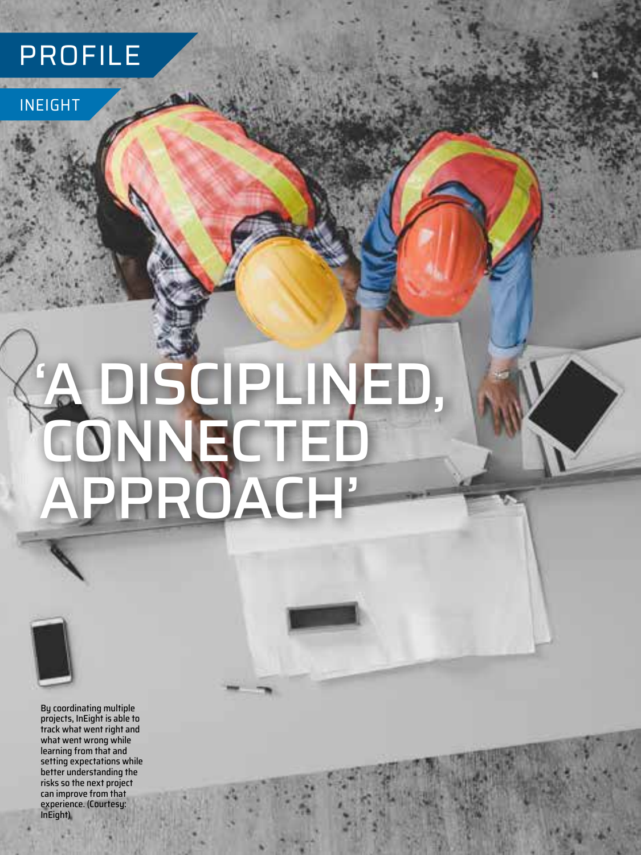## PROFILE

### INEIGHT

# 'A DISCIPLINED, CONNECTED APPROACH'



By coordinating multiple projects, InEight is able to track what went right and what went wrong while learning from that and setting expectations while better understanding the risks so the next project can improve from that experience. (Courtesy: InEight)

**24** JUNE 2022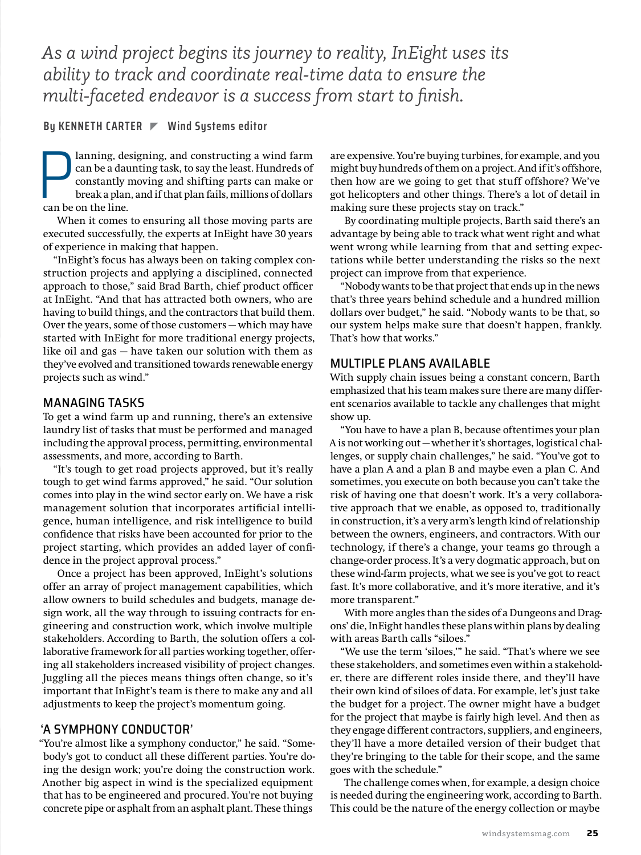*As a wind project begins its journey to reality, InEight uses its ability to track and coordinate real-time data to ensure the multi-faceted endeavor is a success from start to finish.*

#### **By KENNETH CARTER Wind Systems editor**

an be a day<br>constantly<br>break a plan<br>can be on the line. lanning, designing, and constructing a wind farm can be a daunting task, to say the least. Hundreds of constantly moving and shifting parts can make or break a plan, and if that plan fails, millions of dollars

When it comes to ensuring all those moving parts are executed successfully, the experts at InEight have 30 years of experience in making that happen.

"InEight's focus has always been on taking complex construction projects and applying a disciplined, connected approach to those," said Brad Barth, chief product officer at InEight. "And that has attracted both owners, who are having to build things, and the contractors that build them. Over the years, some of those customers — which may have started with InEight for more traditional energy projects, like oil and gas — have taken our solution with them as they've evolved and transitioned towards renewable energy projects such as wind."

#### MANAGING TASKS

To get a wind farm up and running, there's an extensive laundry list of tasks that must be performed and managed including the approval process, permitting, environmental assessments, and more, according to Barth.

"It's tough to get road projects approved, but it's really tough to get wind farms approved," he said. "Our solution comes into play in the wind sector early on. We have a risk management solution that incorporates artificial intelligence, human intelligence, and risk intelligence to build confidence that risks have been accounted for prior to the project starting, which provides an added layer of confidence in the project approval process."

Once a project has been approved, InEight's solutions offer an array of project management capabilities, which allow owners to build schedules and budgets, manage design work, all the way through to issuing contracts for engineering and construction work, which involve multiple stakeholders. According to Barth, the solution offers a collaborative framework for all parties working together, offering all stakeholders increased visibility of project changes. Juggling all the pieces means things often change, so it's important that InEight's team is there to make any and all adjustments to keep the project's momentum going.

#### 'A SYMPHONY CONDUCTOR'

"You're almost like a symphony conductor," he said. "Somebody's got to conduct all these different parties. You're doing the design work; you're doing the construction work. Another big aspect in wind is the specialized equipment that has to be engineered and procured. You're not buying concrete pipe or asphalt from an asphalt plant. These things

are expensive. You're buying turbines, for example, and you might buy hundreds of them on a project. And if it's offshore, then how are we going to get that stuff offshore? We've got helicopters and other things. There's a lot of detail in making sure these projects stay on track."

By coordinating multiple projects, Barth said there's an advantage by being able to track what went right and what went wrong while learning from that and setting expectations while better understanding the risks so the next project can improve from that experience.

"Nobody wants to be that project that ends up in the news that's three years behind schedule and a hundred million dollars over budget," he said. "Nobody wants to be that, so our system helps make sure that doesn't happen, frankly. That's how that works."

#### MULTIPLE PLANS AVAILABLE

With supply chain issues being a constant concern, Barth emphasized that his team makes sure there are many different scenarios available to tackle any challenges that might show up.

"You have to have a plan B, because oftentimes your plan A is not working out — whether it's shortages, logistical challenges, or supply chain challenges," he said. "You've got to have a plan A and a plan B and maybe even a plan C. And sometimes, you execute on both because you can't take the risk of having one that doesn't work. It's a very collaborative approach that we enable, as opposed to, traditionally in construction, it's a very arm's length kind of relationship between the owners, engineers, and contractors. With our technology, if there's a change, your teams go through a change-order process. It's a very dogmatic approach, but on these wind-farm projects, what we see is you've got to react fast. It's more collaborative, and it's more iterative, and it's more transparent."

With more angles than the sides of a Dungeons and Dragons' die, InEight handles these plans within plans by dealing with areas Barth calls "siloes."

"We use the term 'siloes,'" he said. "That's where we see these stakeholders, and sometimes even within a stakeholder, there are different roles inside there, and they'll have their own kind of siloes of data. For example, let's just take the budget for a project. The owner might have a budget for the project that maybe is fairly high level. And then as they engage different contractors, suppliers, and engineers, they'll have a more detailed version of their budget that they're bringing to the table for their scope, and the same goes with the schedule."

The challenge comes when, for example, a design choice is needed during the engineering work, according to Barth. This could be the nature of the energy collection or maybe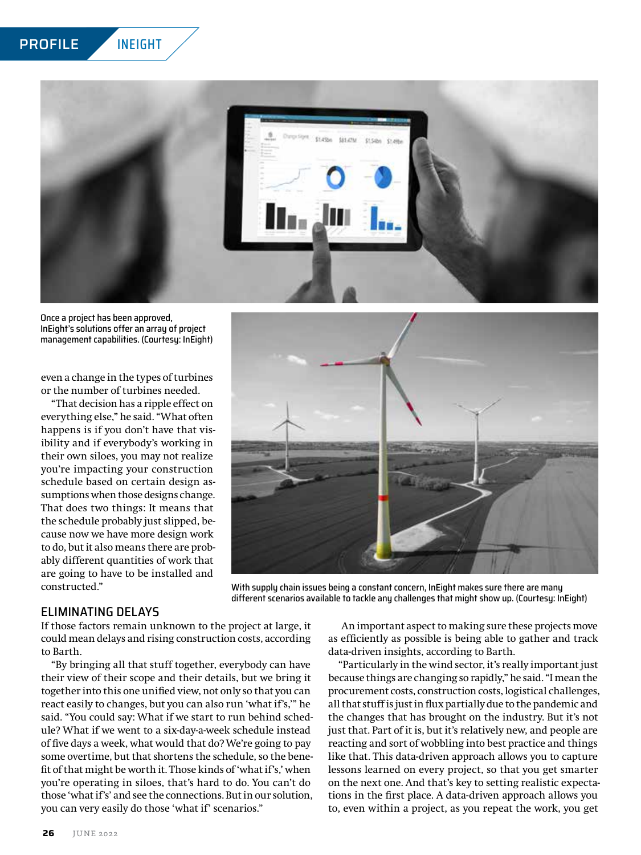

Once a project has been approved, InEight's solutions offer an array of project management capabilities. (Courtesy: InEight)

even a change in the types of turbines or the number of turbines needed.

"That decision has a ripple effect on everything else," he said. "What often happens is if you don't have that visibility and if everybody's working in their own siloes, you may not realize you're impacting your construction schedule based on certain design assumptions when those designs change. That does two things: It means that the schedule probably just slipped, because now we have more design work to do, but it also means there are probably different quantities of work that are going to have to be installed and constructed."



With supply chain issues being a constant concern, InEight makes sure there are many different scenarios available to tackle any challenges that might show up. (Courtesy: InEight)

#### ELIMINATING DELAYS

If those factors remain unknown to the project at large, it could mean delays and rising construction costs, according to Barth.

"By bringing all that stuff together, everybody can have their view of their scope and their details, but we bring it together into this one unified view, not only so that you can react easily to changes, but you can also run 'what if's,'" he said. "You could say: What if we start to run behind schedule? What if we went to a six-day-a-week schedule instead of five days a week, what would that do? We're going to pay some overtime, but that shortens the schedule, so the benefit of that might be worth it. Those kinds of 'what if's,' when you're operating in siloes, that's hard to do. You can't do those 'what if's' and see the connections. But in our solution, you can very easily do those 'what if' scenarios."

An important aspect to making sure these projects move as efficiently as possible is being able to gather and track data-driven insights, according to Barth.

"Particularly in the wind sector, it's really important just because things are changing so rapidly," he said. "I mean the procurement costs, construction costs, logistical challenges, all that stuff is just in flux partially due to the pandemic and the changes that has brought on the industry. But it's not just that. Part of it is, but it's relatively new, and people are reacting and sort of wobbling into best practice and things like that. This data-driven approach allows you to capture lessons learned on every project, so that you get smarter on the next one. And that's key to setting realistic expectations in the first place. A data-driven approach allows you to, even within a project, as you repeat the work, you get